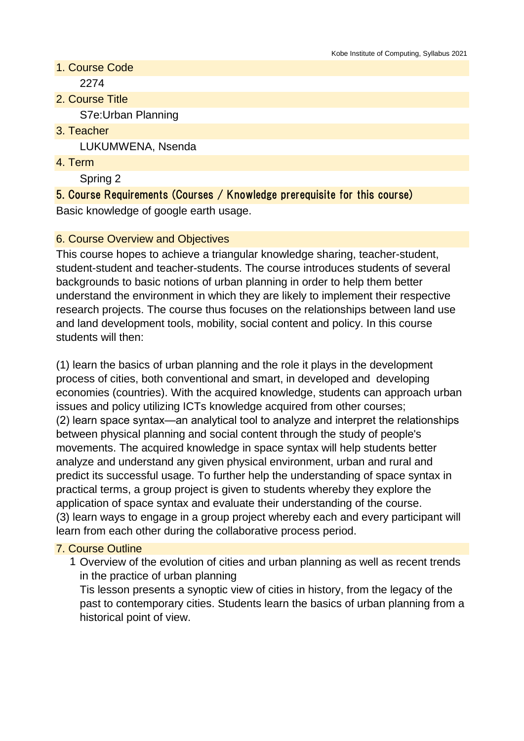- 1. Course Code 2274
- 2. Course Title S7e:Urban Planning
- 3. Teacher LUKUMWENA, Nsenda
- 4. Term

Spring 2

5. Course Requirements (Courses / Knowledge prerequisite for this course) Basic knowledge of google earth usage.

# 6. Course Overview and Objectives

This course hopes to achieve a triangular knowledge sharing, teacher-student, student-student and teacher-students. The course introduces students of several backgrounds to basic notions of urban planning in order to help them better understand the environment in which they are likely to implement their respective research projects. The course thus focuses on the relationships between land use and land development tools, mobility, social content and policy. In this course students will then:

(1) learn the basics of urban planning and the role it plays in the development process of cities, both conventional and smart, in developed and developing economies (countries). With the acquired knowledge, students can approach urban issues and policy utilizing ICTs knowledge acquired from other courses; (2) learn space syntax—an analytical tool to analyze and interpret the relationships between physical planning and social content through the study of people's movements. The acquired knowledge in space syntax will help students better analyze and understand any given physical environment, urban and rural and predict its successful usage. To further help the understanding of space syntax in practical terms, a group project is given to students whereby they explore the application of space syntax and evaluate their understanding of the course. (3) learn ways to engage in a group project whereby each and every participant will learn from each other during the collaborative process period.

### 7. Course Outline

1 Overview of the evolution of cities and urban planning as well as recent trends in the practice of urban planning

Tis lesson presents a synoptic view of cities in history, from the legacy of the past to contemporary cities. Students learn the basics of urban planning from a historical point of view.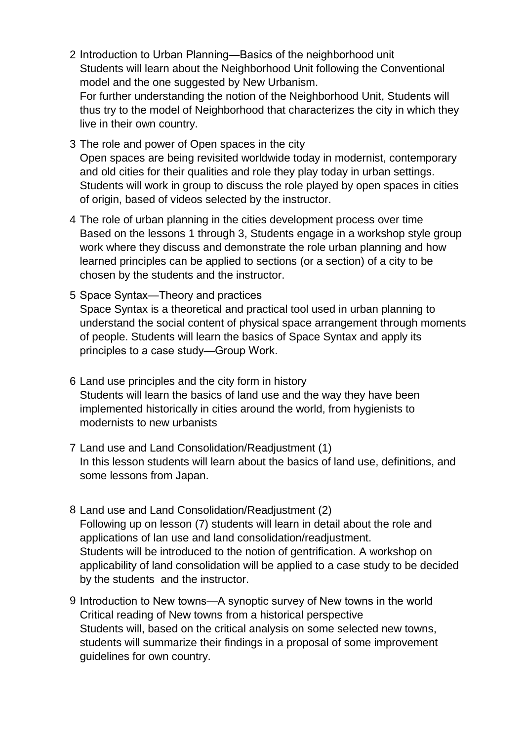- 2 Introduction to Urban Planning—Basics of the neighborhood unit Students will learn about the Neighborhood Unit following the Conventional model and the one suggested by New Urbanism. For further understanding the notion of the Neighborhood Unit, Students will thus try to the model of Neighborhood that characterizes the city in which they live in their own country.
- 3 The role and power of Open spaces in the city Open spaces are being revisited worldwide today in modernist, contemporary and old cities for their qualities and role they play today in urban settings. Students will work in group to discuss the role played by open spaces in cities of origin, based of videos selected by the instructor.
- 4 The role of urban planning in the cities development process over time Based on the lessons 1 through 3, Students engage in a workshop style group work where they discuss and demonstrate the role urban planning and how learned principles can be applied to sections (or a section) of a city to be chosen by the students and the instructor.
- 5 Space Syntax—Theory and practices Space Syntax is a theoretical and practical tool used in urban planning to understand the social content of physical space arrangement through moments of people. Students will learn the basics of Space Syntax and apply its principles to a case study—Group Work.
- 6 Land use principles and the city form in history Students will learn the basics of land use and the way they have been implemented historically in cities around the world, from hygienists to modernists to new urbanists
- 7 Land use and Land Consolidation/Readjustment (1) In this lesson students will learn about the basics of land use, definitions, and some lessons from Japan.
- 8 Land use and Land Consolidation/Readjustment (2) Following up on lesson (7) students will learn in detail about the role and applications of lan use and land consolidation/readjustment. Students will be introduced to the notion of gentrification. A workshop on applicability of land consolidation will be applied to a case study to be decided by the students and the instructor.
- 9 Introduction to New towns—A synoptic survey of New towns in the world Critical reading of New towns from a historical perspective Students will, based on the critical analysis on some selected new towns, students will summarize their findings in a proposal of some improvement guidelines for own country.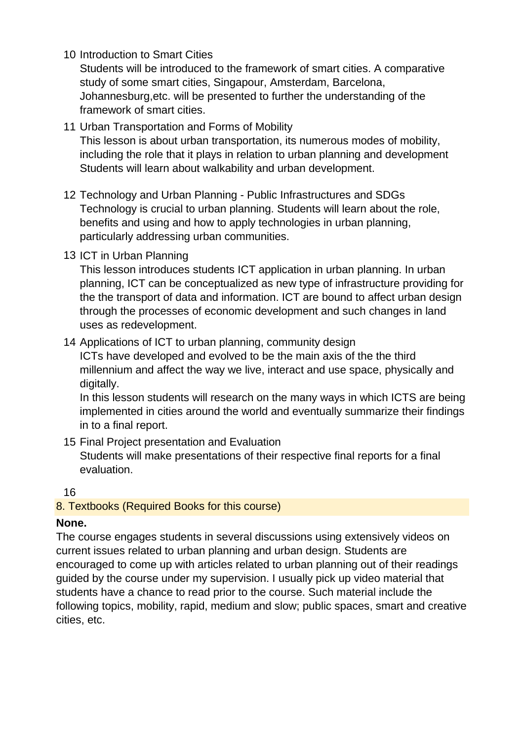10 Introduction to Smart Cities

Students will be introduced to the framework of smart cities. A comparative study of some smart cities, Singapour, Amsterdam, Barcelona, Johannesburg,etc. will be presented to further the understanding of the framework of smart cities.

- 11 Urban Transportation and Forms of Mobility This lesson is about urban transportation, its numerous modes of mobility, including the role that it plays in relation to urban planning and development Students will learn about walkability and urban development.
- 12 Technology and Urban Planning Public Infrastructures and SDGs Technology is crucial to urban planning. Students will learn about the role, benefits and using and how to apply technologies in urban planning, particularly addressing urban communities.
- 13 ICT in Urban Planning

This lesson introduces students ICT application in urban planning. In urban planning, ICT can be conceptualized as new type of infrastructure providing for the the transport of data and information. ICT are bound to affect urban design through the processes of economic development and such changes in land uses as redevelopment.

14 Applications of ICT to urban planning, community design

ICTs have developed and evolved to be the main axis of the the third millennium and affect the way we live, interact and use space, physically and digitally.

In this lesson students will research on the many ways in which ICTS are being implemented in cities around the world and eventually summarize their findings in to a final report.

15 Final Project presentation and Evaluation Students will make presentations of their respective final reports for a final evaluation.

16

# 8. Textbooks (Required Books for this course)

### **None.**

The course engages students in several discussions using extensively videos on current issues related to urban planning and urban design. Students are encouraged to come up with articles related to urban planning out of their readings guided by the course under my supervision. I usually pick up video material that students have a chance to read prior to the course. Such material include the following topics, mobility, rapid, medium and slow; public spaces, smart and creative cities, etc.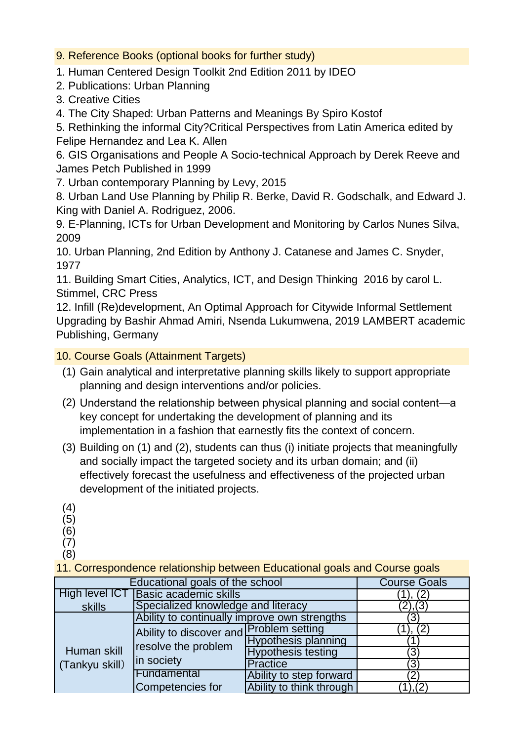9. Reference Books (optional books for further study)

1. Human Centered Design Toolkit 2nd Edition 2011 by IDEO

2. Publications: Urban Planning

3. Creative Cities

4. The City Shaped: Urban Patterns and Meanings By Spiro Kostof

5. Rethinking the informal City?Critical Perspectives from Latin America edited by Felipe Hernandez and Lea K. Allen

6. GIS Organisations and People A Socio-technical Approach by Derek Reeve and James Petch Published in 1999

7. Urban contemporary Planning by Levy, 2015

8. Urban Land Use Planning by Philip R. Berke, David R. Godschalk, and Edward J. King with Daniel A. Rodriguez, 2006.

9. E-Planning, ICTs for Urban Development and Monitoring by Carlos Nunes Silva, 2009

10. Urban Planning, 2nd Edition by Anthony J. Catanese and James C. Snyder, 1977

11. Building Smart Cities, Analytics, ICT, and Design Thinking 2016 by carol L. Stimmel, CRC Press

12. Infill (Re)development, An Optimal Approach for Citywide Informal Settlement Upgrading by Bashir Ahmad Amiri, Nsenda Lukumwena, 2019 LAMBERT academic Publishing, Germany

10. Course Goals (Attainment Targets)

- (1) Gain analytical and interpretative planning skills likely to support appropriate planning and design interventions and/or policies.
- (2) Understand the relationship between physical planning and social content—a key concept for undertaking the development of planning and its implementation in a fashion that earnestly fits the context of concern.
- (3) Building on (1) and (2), students can thus (i) initiate projects that meaningfully and socially impact the targeted society and its urban domain; and (ii) effectively forecast the usefulness and effectiveness of the projected urban development of the initiated projects.
- (4)

(5)

(6)

(7) (8)

11. Correspondence relationship between Educational goals and Course goals

| Educational goals of the school | <b>Course Goals</b>                          |                            |          |
|---------------------------------|----------------------------------------------|----------------------------|----------|
| High level ICT                  | Basic academic skills                        | (2,                        |          |
| skills                          | Specialized knowledge and literacy           | (2), (3)                   |          |
| Human skill<br>(Tankyu skill)   | Ability to continually improve own strengths | ΄3                         |          |
|                                 | Ability to discover and Problem setting      |                            | (2,      |
|                                 | resolve the problem<br>in society            | <b>Hypothesis planning</b> |          |
|                                 |                                              | <b>Hypothesis testing</b>  | ΄3       |
|                                 |                                              | Practice                   | ΄3       |
|                                 | Fundamental                                  | Ability to step forward    | 2        |
|                                 | Competencies for                             | Ability to think through   | (1), (2) |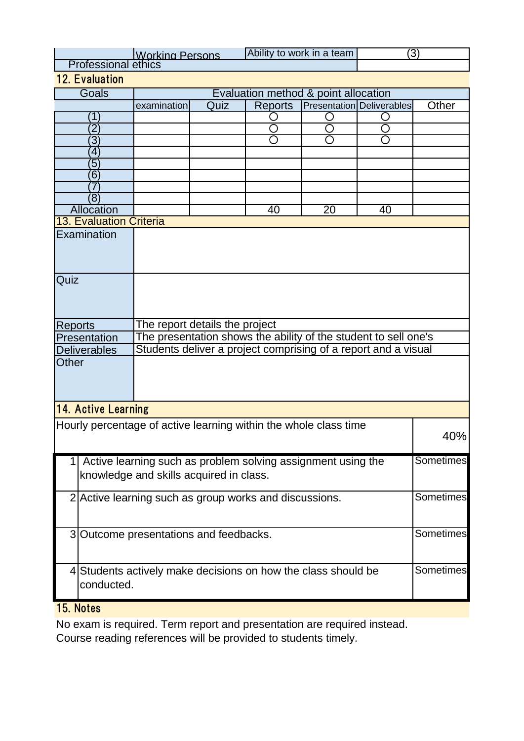|                                                                  |                                                                           | Ability to work in a team<br>Working Persons                                                                                      |  | (3) |    |    |                  |  |  |
|------------------------------------------------------------------|---------------------------------------------------------------------------|-----------------------------------------------------------------------------------------------------------------------------------|--|-----|----|----|------------------|--|--|
| <b>Professional ethics</b><br>12. Evaluation                     |                                                                           |                                                                                                                                   |  |     |    |    |                  |  |  |
| Goals                                                            |                                                                           |                                                                                                                                   |  |     |    |    |                  |  |  |
|                                                                  |                                                                           | Evaluation method & point allocation<br><b>Presentation Deliverables</b><br><b>Reports</b><br>examination<br>Other<br>Quiz        |  |     |    |    |                  |  |  |
|                                                                  | Ί                                                                         |                                                                                                                                   |  |     |    |    |                  |  |  |
|                                                                  | $\overline{2}$                                                            |                                                                                                                                   |  |     |    |    |                  |  |  |
|                                                                  | $\overline{3}$                                                            |                                                                                                                                   |  |     |    |    |                  |  |  |
|                                                                  | $\overline{4}$                                                            |                                                                                                                                   |  |     |    |    |                  |  |  |
|                                                                  | $\overline{5}$                                                            |                                                                                                                                   |  |     |    |    |                  |  |  |
|                                                                  | $\overline{6}$                                                            |                                                                                                                                   |  |     |    |    |                  |  |  |
|                                                                  | 7                                                                         |                                                                                                                                   |  |     |    |    |                  |  |  |
|                                                                  | $\overline{8}$                                                            |                                                                                                                                   |  |     |    |    |                  |  |  |
|                                                                  | <b>Allocation</b><br>13. Evaluation Criteria                              |                                                                                                                                   |  | 40  | 20 | 40 |                  |  |  |
|                                                                  | Examination                                                               |                                                                                                                                   |  |     |    |    |                  |  |  |
|                                                                  |                                                                           |                                                                                                                                   |  |     |    |    |                  |  |  |
|                                                                  |                                                                           |                                                                                                                                   |  |     |    |    |                  |  |  |
|                                                                  |                                                                           |                                                                                                                                   |  |     |    |    |                  |  |  |
| Quiz                                                             |                                                                           |                                                                                                                                   |  |     |    |    |                  |  |  |
|                                                                  |                                                                           |                                                                                                                                   |  |     |    |    |                  |  |  |
|                                                                  |                                                                           |                                                                                                                                   |  |     |    |    |                  |  |  |
|                                                                  |                                                                           |                                                                                                                                   |  |     |    |    |                  |  |  |
| <b>Reports</b>                                                   |                                                                           | The report details the project                                                                                                    |  |     |    |    |                  |  |  |
|                                                                  | Presentation                                                              | The presentation shows the ability of the student to sell one's<br>Students deliver a project comprising of a report and a visual |  |     |    |    |                  |  |  |
|                                                                  | <b>Deliverables</b>                                                       |                                                                                                                                   |  |     |    |    |                  |  |  |
| Other                                                            |                                                                           |                                                                                                                                   |  |     |    |    |                  |  |  |
|                                                                  |                                                                           |                                                                                                                                   |  |     |    |    |                  |  |  |
|                                                                  |                                                                           |                                                                                                                                   |  |     |    |    |                  |  |  |
| 14. Active Learning                                              |                                                                           |                                                                                                                                   |  |     |    |    |                  |  |  |
|                                                                  |                                                                           |                                                                                                                                   |  |     |    |    |                  |  |  |
| Hourly percentage of active learning within the whole class time |                                                                           |                                                                                                                                   |  |     |    |    | 40%              |  |  |
|                                                                  |                                                                           |                                                                                                                                   |  |     |    |    |                  |  |  |
|                                                                  | Sometimes<br>Active learning such as problem solving assignment using the |                                                                                                                                   |  |     |    |    |                  |  |  |
|                                                                  |                                                                           | knowledge and skills acquired in class.                                                                                           |  |     |    |    |                  |  |  |
|                                                                  |                                                                           | 2 Active learning such as group works and discussions.                                                                            |  |     |    |    |                  |  |  |
|                                                                  |                                                                           | Sometimes                                                                                                                         |  |     |    |    |                  |  |  |
|                                                                  |                                                                           |                                                                                                                                   |  |     |    |    |                  |  |  |
| 3 Outcome presentations and feedbacks.                           |                                                                           |                                                                                                                                   |  |     |    |    | <b>Sometimes</b> |  |  |
|                                                                  |                                                                           |                                                                                                                                   |  |     |    |    |                  |  |  |
|                                                                  |                                                                           |                                                                                                                                   |  |     |    |    |                  |  |  |
|                                                                  |                                                                           | Sometimes<br>4 Students actively make decisions on how the class should be                                                        |  |     |    |    |                  |  |  |
|                                                                  | conducted.                                                                |                                                                                                                                   |  |     |    |    |                  |  |  |
|                                                                  |                                                                           |                                                                                                                                   |  |     |    |    |                  |  |  |

### 15. Notes

No exam is required. Term report and presentation are required instead. Course reading references will be provided to students timely.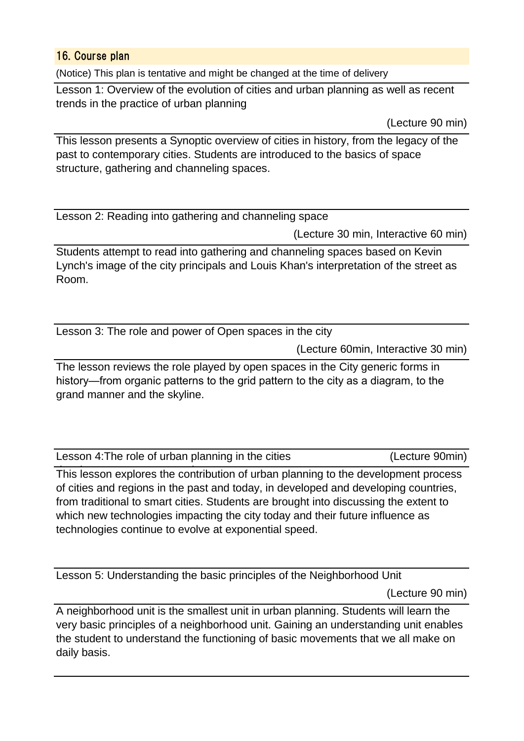### 16. Course plan

(Notice) This plan is tentative and might be changed at the time of delivery

Lesson 1: Overview of the evolution of cities and urban planning as well as recent trends in the practice of urban planning

(Lecture 90 min)

This lesson presents a Synoptic overview of cities in history, from the legacy of the past to contemporary cities. Students are introduced to the basics of space structure, gathering and channeling spaces.

Lesson 2: Reading into gathering and channeling space

(Lecture 30 min, Interactive 60 min)

Students attempt to read into gathering and channeling spaces based on Kevin Lynch's image of the city principals and Louis Khan's interpretation of the street as Room.

Lesson 3: The role and power of Open spaces in the city

(Lecture 60min, Interactive 30 min)

The lesson reviews the role played by open spaces in the City generic forms in history—from organic patterns to the grid pattern to the city as a diagram, to the grand manner and the skyline.

Lesson 4:The role of urban planning in the cities

(Lecture 90min)

This lesson explores the contribution of urban planning to the development process of cities and regions in the past and today, in developed and developing countries, from traditional to smart cities. Students are brought into discussing the extent to which new technologies impacting the city today and their future influence as technologies continue to evolve at exponential speed.

Lesson 5: Understanding the basic principles of the Neighborhood Unit

(Lecture 90 min)

A neighborhood unit is the smallest unit in urban planning. Students will learn the very basic principles of a neighborhood unit. Gaining an understanding unit enables the student to understand the functioning of basic movements that we all make on daily basis.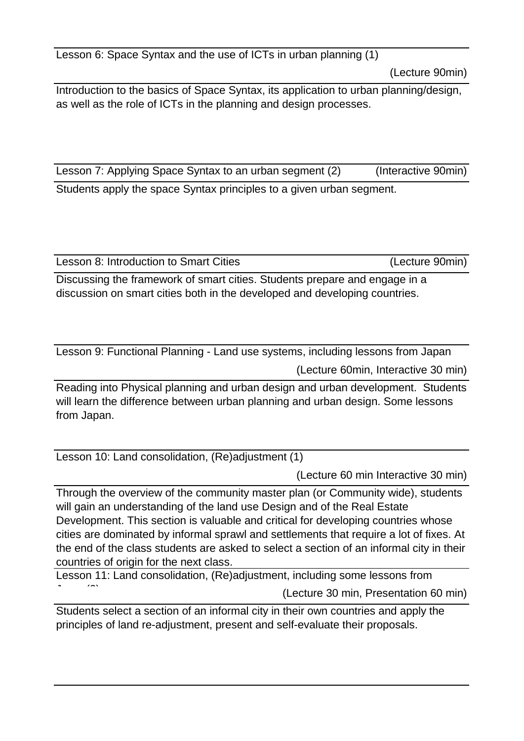Lesson 6: Space Syntax and the use of ICTs in urban planning (1)

(Lecture 90min)

Introduction to the basics of Space Syntax, its application to urban planning/design, as well as the role of ICTs in the planning and design processes.

Lesson 7: Applying Space Syntax to an urban segment (2) (Interactive 90min) Students apply the space Syntax principles to a given urban segment.

Lesson 8: Introduction to Smart Cities (Lecture 90min)

Discussing the framework of smart cities. Students prepare and engage in a discussion on smart cities both in the developed and developing countries.

Lesson 9: Functional Planning - Land use systems, including lessons from Japan

(Lecture 60min, Interactive 30 min)

Reading into Physical planning and urban design and urban development. Students will learn the difference between urban planning and urban design. Some lessons from Japan.

Lesson 10: Land consolidation, (Re)adjustment (1)

(Lecture 60 min Interactive 30 min)

Through the overview of the community master plan (or Community wide), students will gain an understanding of the land use Design and of the Real Estate Development. This section is valuable and critical for developing countries whose cities are dominated by informal sprawl and settlements that require a lot of fixes. At the end of the class students are asked to select a section of an informal city in their countries of origin for the next class.

(Lecture 30 min, Presentation 60 min) Lesson 11: Land consolidation, (Re)adjustment, including some lessons from  $\overline{1}$   $\overline{2}$ 

Students select a section of an informal city in their own countries and apply the principles of land re-adjustment, present and self-evaluate their proposals.